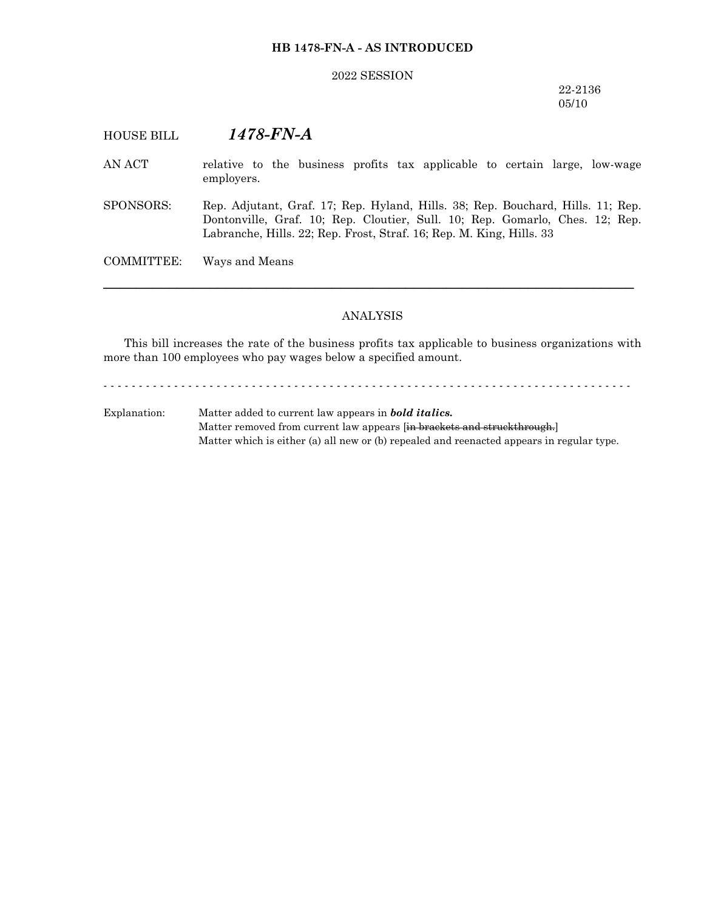## **HB 1478-FN-A - AS INTRODUCED**

#### 2022 SESSION

22-2136 05/10

# HOUSE BILL *1478-FN-A*

- AN ACT relative to the business profits tax applicable to certain large, low-wage employers.
- SPONSORS: Rep. Adjutant, Graf. 17; Rep. Hyland, Hills. 38; Rep. Bouchard, Hills. 11; Rep. Dontonville, Graf. 10; Rep. Cloutier, Sull. 10; Rep. Gomarlo, Ches. 12; Rep. Labranche, Hills. 22; Rep. Frost, Straf. 16; Rep. M. King, Hills. 33

COMMITTEE: Ways and Means

## ANALYSIS

─────────────────────────────────────────────────────────────────

This bill increases the rate of the business profits tax applicable to business organizations with more than 100 employees who pay wages below a specified amount.

- - - - - - - - - - - - - - - - - - - - - - - - - - - - - - - - - - - - - - - - - - - - - - - - - - - - - - - - - - - - - - - - - - - - - - - - - - -

Explanation: Matter added to current law appears in *bold italics.* Matter removed from current law appears [in brackets and struckthrough.] Matter which is either (a) all new or (b) repealed and reenacted appears in regular type.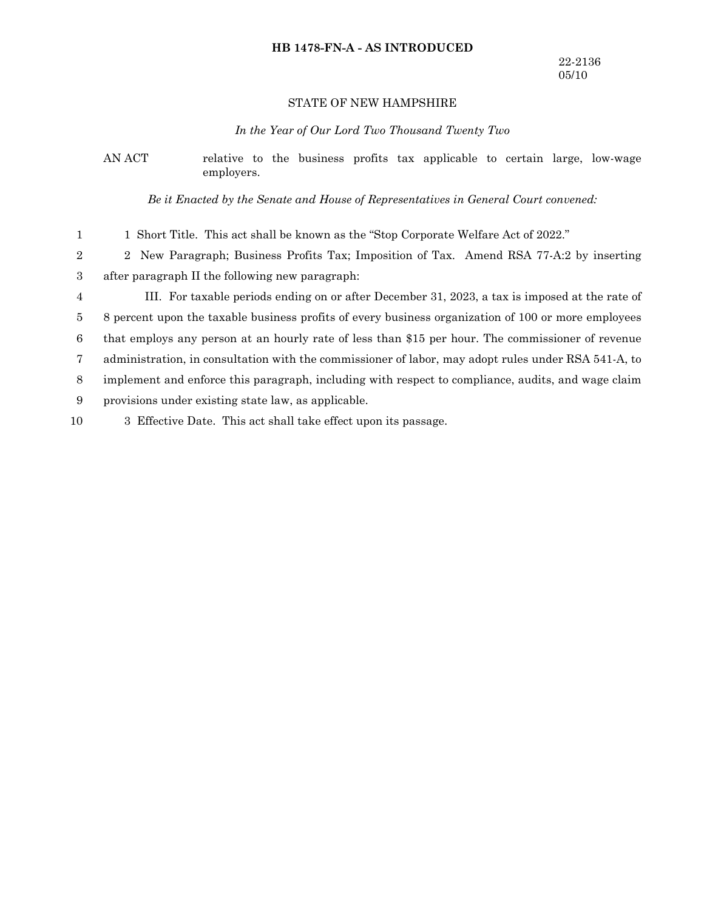## **HB 1478-FN-A - AS INTRODUCED**

## STATE OF NEW HAMPSHIRE

#### *In the Year of Our Lord Two Thousand Twenty Two*

## AN ACT relative to the business profits tax applicable to certain large, low-wage employers.

*Be it Enacted by the Senate and House of Representatives in General Court convened:*

1 Short Title. This act shall be known as the "Stop Corporate Welfare Act of 2022." 1

2 New Paragraph; Business Profits Tax; Imposition of Tax. Amend RSA 77-A:2 by inserting after paragraph II the following new paragraph: 2 3

III. For taxable periods ending on or after December 31, 2023, a tax is imposed at the rate of 4

8 percent upon the taxable business profits of every business organization of 100 or more employees 5

that employs any person at an hourly rate of less than \$15 per hour. The commissioner of revenue 6

administration, in consultation with the commissioner of labor, may adopt rules under RSA 541-A, to 7

implement and enforce this paragraph, including with respect to compliance, audits, and wage claim 8

provisions under existing state law, as applicable. 9

3 Effective Date. This act shall take effect upon its passage. 10